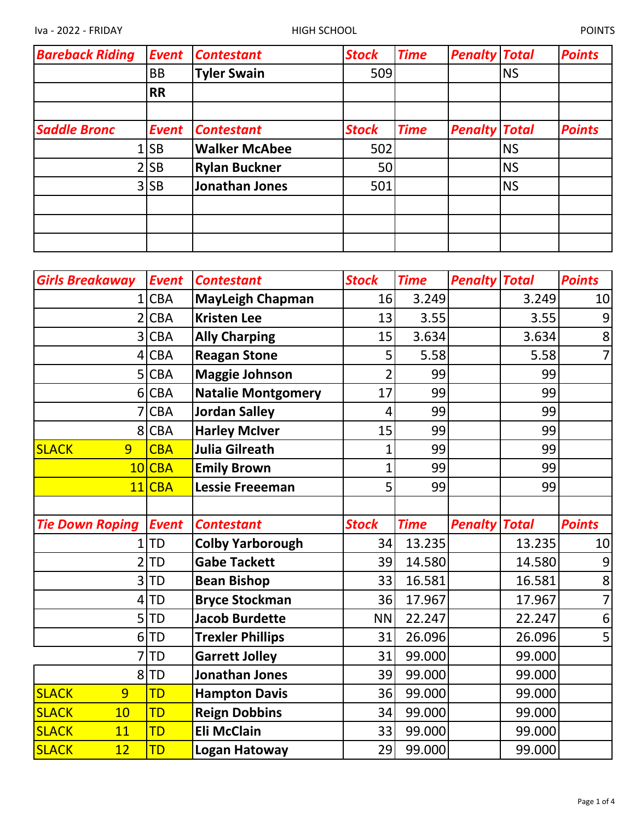| <b>Bareback Riding</b> | <b>Event</b> | <b>Contestant</b>    | <b>Stock</b> | <b>Time</b> | <b>Penalty Total</b> |           | <b>Points</b> |
|------------------------|--------------|----------------------|--------------|-------------|----------------------|-----------|---------------|
|                        | <b>BB</b>    | <b>Tyler Swain</b>   | 509          |             |                      | <b>NS</b> |               |
|                        | <b>RR</b>    |                      |              |             |                      |           |               |
| <b>Saddle Bronc</b>    | <b>Event</b> | <b>Contestant</b>    | <b>Stock</b> | <b>Time</b> | <b>Penalty Total</b> |           | <b>Points</b> |
|                        | $1$ SB       | <b>Walker McAbee</b> | 502          |             |                      | <b>NS</b> |               |
|                        | $2$ SB       | <b>Rylan Buckner</b> | 50           |             |                      | <b>NS</b> |               |
|                        | $3$ SB       | Jonathan Jones       | 501          |             |                      | <b>NS</b> |               |
|                        |              |                      |              |             |                      |           |               |
|                        |              |                      |              |             |                      |           |               |
|                        |              |                      |              |             |                      |           |               |

| <b>Girls Breakaway</b> | <b>Event</b> | <b>Contestant</b>         | <b>Stock</b> | <b>Time</b> | <b>Penalty Total</b> |        | <b>Points</b>  |
|------------------------|--------------|---------------------------|--------------|-------------|----------------------|--------|----------------|
| 1                      | <b>CBA</b>   | <b>MayLeigh Chapman</b>   | 16           | 3.249       |                      | 3.249  | 10             |
| $\overline{2}$         | <b>CBA</b>   | <b>Kristen Lee</b>        | 13           | 3.55        |                      | 3.55   | 9              |
| 3                      | <b>CBA</b>   | <b>Ally Charping</b>      | 15           | 3.634       |                      | 3.634  | 8              |
| 4                      | <b>CBA</b>   | <b>Reagan Stone</b>       | 5            | 5.58        |                      | 5.58   | $\overline{7}$ |
| 5                      | <b>CBA</b>   | <b>Maggie Johnson</b>     | 2            | 99          |                      | 99     |                |
| 6                      | <b>CBA</b>   | <b>Natalie Montgomery</b> | 17           | 99          |                      | 99     |                |
| 7                      | <b>CBA</b>   | <b>Jordan Salley</b>      | 4            | 99          |                      | 99     |                |
| 8                      | <b>CBA</b>   | <b>Harley McIver</b>      | 15           | 99          |                      | 99     |                |
| <b>SLACK</b><br>9      | <b>CBA</b>   | <b>Julia Gilreath</b>     | 1            | 99          |                      | 99     |                |
| 10                     | <b>CBA</b>   | <b>Emily Brown</b>        | 1            | 99          |                      | 99     |                |
| 11                     | <b>CBA</b>   | <b>Lessie Freeeman</b>    | 5            | 99          |                      | 99     |                |
|                        |              |                           |              |             |                      |        |                |
|                        |              |                           |              |             |                      |        |                |
| <b>Tie Down Roping</b> | <b>Event</b> | <b>Contestant</b>         | <b>Stock</b> | <b>Time</b> | <b>Penalty Total</b> |        | <b>Points</b>  |
| $\mathbf{1}$           | <b>TD</b>    | <b>Colby Yarborough</b>   | 34           | 13.235      |                      | 13.235 | 10             |
| $\overline{2}$         | <b>TD</b>    | <b>Gabe Tackett</b>       | 39           | 14.580      |                      | 14.580 | 9              |
| 3                      | <b>TD</b>    | <b>Bean Bishop</b>        | 33           | 16.581      |                      | 16.581 | 8              |
| 4                      | <b>TD</b>    | <b>Bryce Stockman</b>     | 36           | 17.967      |                      | 17.967 | $\overline{7}$ |
| 5                      | TD           | <b>Jacob Burdette</b>     | <b>NN</b>    | 22.247      |                      | 22.247 | 6              |
| 6                      | TD           | <b>Trexler Phillips</b>   | 31           | 26.096      |                      | 26.096 | 5              |
|                        | <b>TD</b>    | <b>Garrett Jolley</b>     | 31           | 99.000      |                      | 99.000 |                |
| 8                      | TD           | <b>Jonathan Jones</b>     | 39           | 99.000      |                      | 99.000 |                |
| <b>SLACK</b><br>9      | TD           | <b>Hampton Davis</b>      | 36           | 99.000      |                      | 99.000 |                |
| <b>SLACK</b><br>10     | TD           | <b>Reign Dobbins</b>      | 34           | 99.000      |                      | 99.000 |                |
| <b>SLACK</b><br>11     | <b>TD</b>    | <b>Eli McClain</b>        | 33           | 99.000      |                      | 99.000 |                |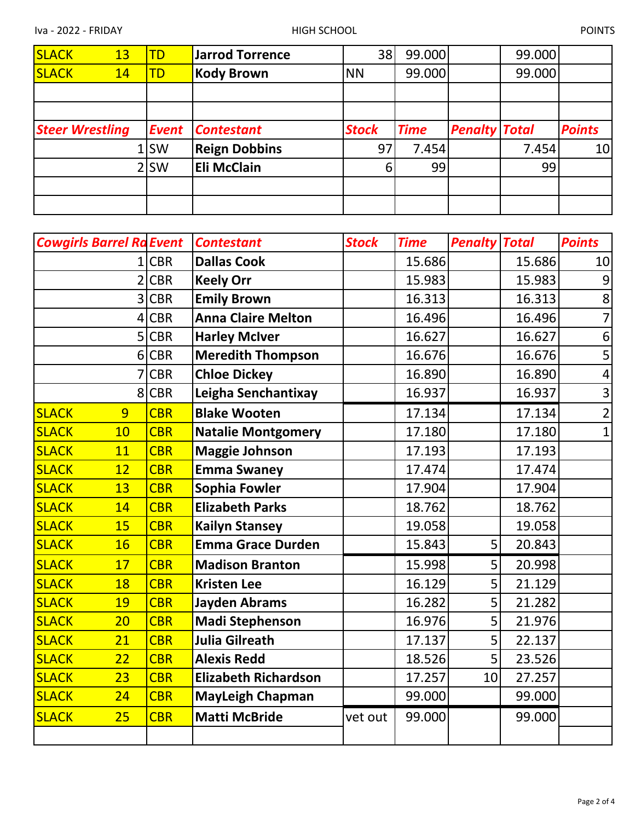| <b>SLACK</b> | 13                     | <b>TD</b> | <b>Jarrod Torrence</b> | 38             | 99.000      |                      | 99.000 |               |
|--------------|------------------------|-----------|------------------------|----------------|-------------|----------------------|--------|---------------|
| <b>SLACK</b> | 14                     | <b>TD</b> | <b>Kody Brown</b>      | <b>NN</b>      | 99.000      |                      | 99.000 |               |
|              |                        |           |                        |                |             |                      |        |               |
|              |                        |           |                        |                |             |                      |        |               |
|              | <b>Steer Wrestling</b> | Event     | <b>Contestant</b>      | <b>Stock</b>   | <b>Time</b> | <b>Penalty Total</b> |        | <b>Points</b> |
|              |                        | 1lSW      | <b>Reign Dobbins</b>   | 97             | 7.454       |                      | 7.454  | 10            |
|              |                        |           |                        |                |             |                      |        |               |
|              |                        | 2 SW      | <b>Eli McClain</b>     | 6 <sup>1</sup> | 99          |                      | 99     |               |
|              |                        |           |                        |                |             |                      |        |               |

| <b>Cowgirls Barrel Ra Event</b> |            | <b>Contestant</b>           | <b>Stock</b> | <b>Time</b> | <b>Penalty Total</b> |        | <b>Points</b>  |
|---------------------------------|------------|-----------------------------|--------------|-------------|----------------------|--------|----------------|
|                                 | $1$ CBR    | <b>Dallas Cook</b>          |              | 15.686      |                      | 15.686 | 10             |
|                                 | 2 CBR      | <b>Keely Orr</b>            |              | 15.983      |                      | 15.983 | 9              |
|                                 | 3 CBR      | <b>Emily Brown</b>          |              | 16.313      |                      | 16.313 | 8              |
| $\overline{4}$                  | <b>CBR</b> | <b>Anna Claire Melton</b>   |              | 16.496      |                      | 16.496 | 7              |
|                                 | 5 CBR      | <b>Harley McIver</b>        |              | 16.627      |                      | 16.627 | 6              |
|                                 | 6 CBR      | <b>Meredith Thompson</b>    |              | 16.676      |                      | 16.676 | 5              |
| 7                               | <b>CBR</b> | <b>Chloe Dickey</b>         |              | 16.890      |                      | 16.890 | $\overline{4}$ |
|                                 | 8 CBR      | Leigha Senchantixay         |              | 16.937      |                      | 16.937 | 3              |
| <b>SLACK</b><br>9               | <b>CBR</b> | <b>Blake Wooten</b>         |              | 17.134      |                      | 17.134 | $\overline{2}$ |
| 10<br><b>SLACK</b>              | <b>CBR</b> | <b>Natalie Montgomery</b>   |              | 17.180      |                      | 17.180 | $\mathbf{1}$   |
| <b>SLACK</b><br>11              | <b>CBR</b> | <b>Maggie Johnson</b>       |              | 17.193      |                      | 17.193 |                |
| <b>SLACK</b><br>12              | <b>CBR</b> | <b>Emma Swaney</b>          |              | 17.474      |                      | 17.474 |                |
| <b>SLACK</b><br>13              | <b>CBR</b> | <b>Sophia Fowler</b>        |              | 17.904      |                      | 17.904 |                |
| <b>SLACK</b><br>14              | <b>CBR</b> | <b>Elizabeth Parks</b>      |              | 18.762      |                      | 18.762 |                |
| <b>SLACK</b><br>15              | <b>CBR</b> | <b>Kailyn Stansey</b>       |              | 19.058      |                      | 19.058 |                |
| <b>SLACK</b><br>16              | <b>CBR</b> | <b>Emma Grace Durden</b>    |              | 15.843      | 5                    | 20.843 |                |
| <b>SLACK</b><br>17              | <b>CBR</b> | <b>Madison Branton</b>      |              | 15.998      | 5                    | 20.998 |                |
| <b>SLACK</b><br>18              | <b>CBR</b> | <b>Kristen Lee</b>          |              | 16.129      | 5                    | 21.129 |                |
| <b>SLACK</b><br>19              | <b>CBR</b> | <b>Jayden Abrams</b>        |              | 16.282      | 5                    | 21.282 |                |
| <b>SLACK</b><br>20              | <b>CBR</b> | <b>Madi Stephenson</b>      |              | 16.976      | 5                    | 21.976 |                |
| <b>SLACK</b><br>21              | <b>CBR</b> | <b>Julia Gilreath</b>       |              | 17.137      | 5                    | 22.137 |                |
| <b>SLACK</b><br>22              | <b>CBR</b> | <b>Alexis Redd</b>          |              | 18.526      | 5                    | 23.526 |                |
| <b>SLACK</b><br>23              | <b>CBR</b> | <b>Elizabeth Richardson</b> |              | 17.257      | 10                   | 27.257 |                |
| <b>SLACK</b><br>24              | <b>CBR</b> | <b>MayLeigh Chapman</b>     |              | 99.000      |                      | 99.000 |                |
| <b>SLACK</b><br>25              | <b>CBR</b> | <b>Matti McBride</b>        | vet out      | 99.000      |                      | 99.000 |                |
|                                 |            |                             |              |             |                      |        |                |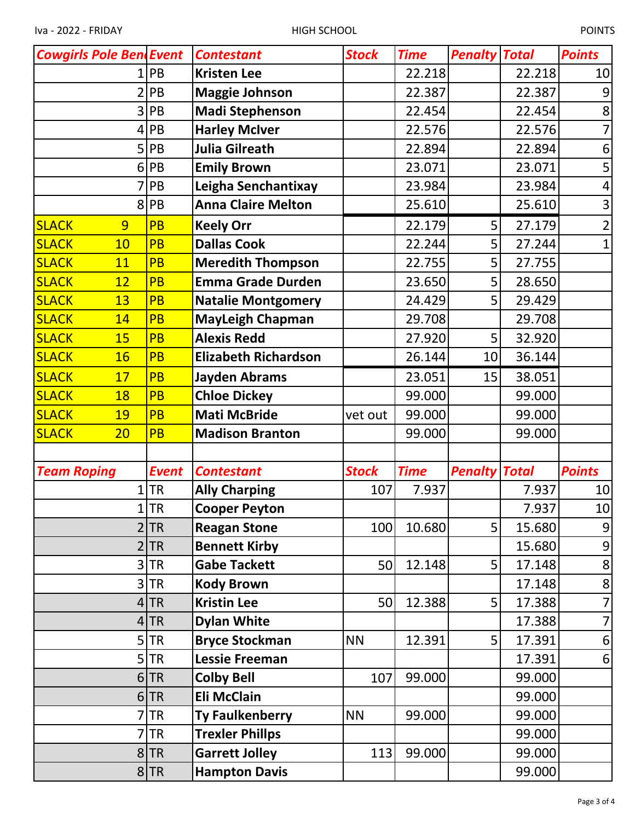| <b>Cowgirls Pole Bend Event</b> |                             | <b>Contestant</b>           | <b>Stock</b> | <b>Time</b> | <b>Penalty Total</b> |        | <b>Points</b>    |
|---------------------------------|-----------------------------|-----------------------------|--------------|-------------|----------------------|--------|------------------|
| 1                               | PB                          | <b>Kristen Lee</b>          |              | 22.218      |                      | 22.218 | 10               |
| $\overline{2}$                  | PB                          | <b>Maggie Johnson</b>       |              | 22.387      |                      | 22.387 | 9                |
| 3                               | PB                          | <b>Madi Stephenson</b>      |              | 22.454      |                      | 22.454 | 8                |
| 4                               | PB                          | <b>Harley McIver</b>        |              | 22.576      |                      | 22.576 |                  |
| 5                               | PB                          | <b>Julia Gilreath</b>       |              | 22.894      |                      | 22.894 | 6                |
| 6                               | PB                          | <b>Emily Brown</b>          |              | 23.071      |                      | 23.071 | 5                |
| 7                               | PB                          | Leigha Senchantixay         |              | 23.984      |                      | 23.984 | $\overline{4}$   |
| 8                               | PB                          | <b>Anna Claire Melton</b>   |              | 25.610      |                      | 25.610 | 3                |
| 9<br><b>SLACK</b>               | PB                          | <b>Keely Orr</b>            |              | 22.179      | 5                    | 27.179 | 2                |
| <b>SLACK</b><br>10              | <b>PB</b>                   | <b>Dallas Cook</b>          |              | 22.244      | 5                    | 27.244 | $\overline{1}$   |
| <b>SLACK</b><br>11              | <b>PB</b>                   | <b>Meredith Thompson</b>    |              | 22.755      | 5                    | 27.755 |                  |
| <b>SLACK</b><br>12              | <b>PB</b>                   | <b>Emma Grade Durden</b>    |              | 23.650      | 5                    | 28.650 |                  |
| <b>SLACK</b><br>13              | <b>PB</b>                   | <b>Natalie Montgomery</b>   |              | 24.429      | 5                    | 29.429 |                  |
| <b>SLACK</b><br>14              | <b>PB</b>                   | <b>MayLeigh Chapman</b>     |              | 29.708      |                      | 29.708 |                  |
| <b>SLACK</b><br>15              | <b>PB</b>                   | <b>Alexis Redd</b>          |              | 27.920      | 5                    | 32.920 |                  |
| <b>SLACK</b><br>16              | <b>PB</b>                   | <b>Elizabeth Richardson</b> |              | 26.144      | 10                   | 36.144 |                  |
| <b>SLACK</b><br>17              | PB                          | <b>Jayden Abrams</b>        |              | 23.051      | 15                   | 38.051 |                  |
| <b>SLACK</b><br>18              | <b>PB</b>                   | <b>Chloe Dickey</b>         |              | 99.000      |                      | 99.000 |                  |
| <b>SLACK</b><br>19              | <b>PB</b>                   | <b>Mati McBride</b>         | vet out      | 99.000      |                      | 99.000 |                  |
| <b>SLACK</b><br>20              | <b>PB</b>                   | <b>Madison Branton</b>      |              | 99.000      |                      | 99.000 |                  |
|                                 |                             |                             |              |             |                      |        |                  |
| <b>Team Roping</b>              | <b>Event</b>                | <b>Contestant</b>           | <b>Stock</b> | <b>Time</b> | <b>Penalty Total</b> |        | <b>Points</b>    |
| 1                               | <b>TR</b>                   | <b>Ally Charping</b>        | 107          | 7.937       |                      | 7.937  | 10               |
| 1                               | <b>TR</b>                   | <b>Cooper Peyton</b>        |              |             |                      | 7.937  | 10 <sup>1</sup>  |
|                                 | 2 TR                        | <b>Reagan Stone</b>         | 100          | 10.680      | 5 <sup>1</sup>       | 15.680 | 9                |
|                                 | <b>TR</b><br>$\overline{2}$ | <b>Bennett Kirby</b>        |              |             |                      | 15.680 | $\boldsymbol{9}$ |
|                                 | 3 TR                        | <b>Gabe Tackett</b>         | 50           | 12.148      | 5 <sup>1</sup>       | 17.148 | 8                |
|                                 | 3 TR                        | <b>Kody Brown</b>           |              |             |                      | 17.148 | 8                |
|                                 | 4 TR                        | <b>Kristin Lee</b>          | 50           | 12.388      | 5 <sup>1</sup>       | 17.388 | $\overline{7}$   |
|                                 | 4 TR                        | <b>Dylan White</b>          |              |             |                      | 17.388 | 7                |
|                                 | $5$ TR                      | <b>Bryce Stockman</b>       | <b>NN</b>    | 12.391      | 5 <sup>1</sup>       | 17.391 | 6                |
|                                 | $5$ TR                      | <b>Lessie Freeman</b>       |              |             |                      | 17.391 | 6                |
|                                 | 6 TR                        | <b>Colby Bell</b>           | 107          | 99.000      |                      | 99.000 |                  |
|                                 | 6 TR                        | <b>Eli McClain</b>          |              |             |                      | 99.000 |                  |
|                                 | <b>TR</b><br>7              | <b>Ty Faulkenberry</b>      | <b>NN</b>    | 99.000      |                      | 99.000 |                  |
|                                 | <b>TR</b><br>7              | <b>Trexler Phillps</b>      |              |             |                      | 99.000 |                  |
|                                 | 8 TR                        | <b>Garrett Jolley</b>       | 113          | 99.000      |                      | 99.000 |                  |
|                                 | 8 TR                        | <b>Hampton Davis</b>        |              |             |                      | 99.000 |                  |